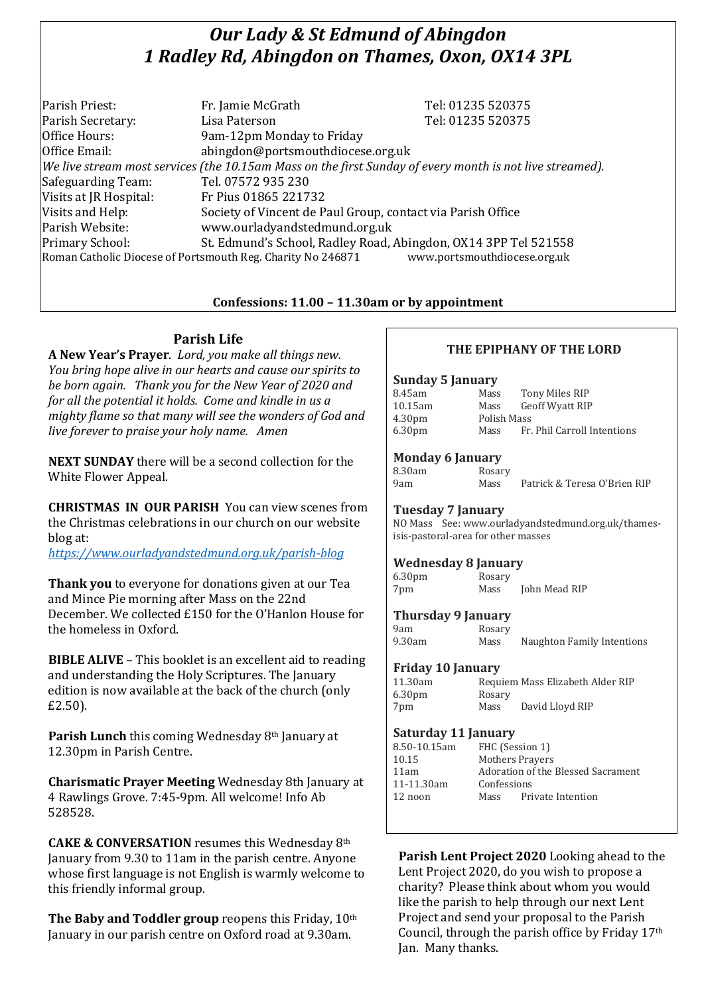# *Our Lady & St Edmund of Abingdon 1 Radley Rd, Abingdon on Thames, Oxon, OX14 3PL*

| Parish Priest:         | Fr. Jamie McGrath                                                                                        | Tel: 01235 520375            |
|------------------------|----------------------------------------------------------------------------------------------------------|------------------------------|
| Parish Secretary:      | Lisa Paterson                                                                                            | Tel: 01235 520375            |
| Office Hours:          | 9am-12pm Monday to Friday                                                                                |                              |
| Office Email:          | abingdon@portsmouthdiocese.org.uk                                                                        |                              |
|                        | We live stream most services (the 10.15am Mass on the first Sunday of every month is not live streamed). |                              |
| Safeguarding Team:     | Tel. 07572 935 230                                                                                       |                              |
| Visits at JR Hospital: | Fr Pius 01865 221732                                                                                     |                              |
| Visits and Help:       | Society of Vincent de Paul Group, contact via Parish Office                                              |                              |
| Parish Website:        | www.ourladyandstedmund.org.uk                                                                            |                              |
| Primary School:        | St. Edmund's School, Radley Road, Abingdon, OX14 3PP Tel 521558                                          |                              |
|                        | Roman Catholic Diocese of Portsmouth Reg. Charity No 246871                                              | www.portsmouthdiocese.org.uk |

### **Confessions: 11.00 – 11.30am or by appointment**

# **Parish Life**

**A New Year's Prayer**. *Lord, you make all things new. You bring hope alive in our hearts and cause our spirits to be born again. Thank you for the New Year of 2020 and for all the potential it holds. Come and kindle in us a mighty flame so that many will see the wonders of God and live forever to praise your holy name. Amen*

**NEXT SUNDAY** there will be a second collection for the White Flower Appeal.

**CHRISTMAS IN OUR PARISH** You can view scenes from the Christmas celebrations in our church on our website blog at:

*<https://www.ourladyandstedmund.org.uk/parish-blog>*

**Thank you** to everyone for donations given at our Tea and Mince Pie morning after Mass on the 22nd December. We collected £150 for the O'Hanlon House for the homeless in Oxford.

**BIBLE ALIVE** – This booklet is an excellent aid to reading and understanding the Holy Scriptures. The January edition is now available at the back of the church (only £2.50).

**Parish Lunch** this coming Wednesday 8th January at 12.30pm in Parish Centre.

**Charismatic Prayer Meeting** Wednesday 8th January at 4 Rawlings Grove. 7:45-9pm. All welcome! Info Ab 528528.

**CAKE & CONVERSATION** resumes this Wednesday 8th January from 9.30 to 11am in the parish centre. Anyone whose first language is not English is warmly welcome to this friendly informal group.

**The Baby and Toddler group** reopens this Friday, 10th January in our parish centre on Oxford road at 9.30am.

# **THE EPIPHANY OF THE LORD**

#### **Sunday 5 January**

| Mass | Tony Miles RIP              |
|------|-----------------------------|
| Mass | Geoff Wyatt RIP             |
|      |                             |
| Mass | Fr. Phil Carroll Intentions |
|      | Polish Mass                 |

#### **Monday 6 January**

| 8.30am |  |
|--------|--|
| 9am    |  |

**Rosary** Mass Patrick & Teresa O'Brien RIP

#### **Tuesday 7 January**

NO Mass See: www.ourladyandstedmund.org.uk/thamesisis-pastoral-area for other masses

#### **Wednesday 8 January**

6.30pm Rosary 7pm Mass John Mead RIP

#### **Thursday 9 January**

| 9am    | Rosary |                            |  |
|--------|--------|----------------------------|--|
| 9.30am | Mass   | Naughton Family Intentions |  |

#### **Friday 10 January**

| 11.30am            |        | Requiem Mass Elizabeth Alder RIP |
|--------------------|--------|----------------------------------|
| 6.30 <sub>pm</sub> | Rosary |                                  |
| 7pm                | Mass   | David Lloyd RIP                  |

#### **Saturday 11 January**

| 8.50-10.15am | FHC (Session 1)                    |                   |
|--------------|------------------------------------|-------------------|
| 10.15        | <b>Mothers Prayers</b>             |                   |
| 11am         | Adoration of the Blessed Sacrament |                   |
| 11-11.30am   | Confessions                        |                   |
| 12 noon      | Mass                               | Private Intention |
|              |                                    |                   |

# **Parish Lent Project 2020** Looking ahead to the Lent Project 2020, do you wish to propose a charity? Please think about whom you would like the parish to help through our next Lent

Project and send your proposal to the Parish Council, through the parish office by Friday 17th Jan. Many thanks.